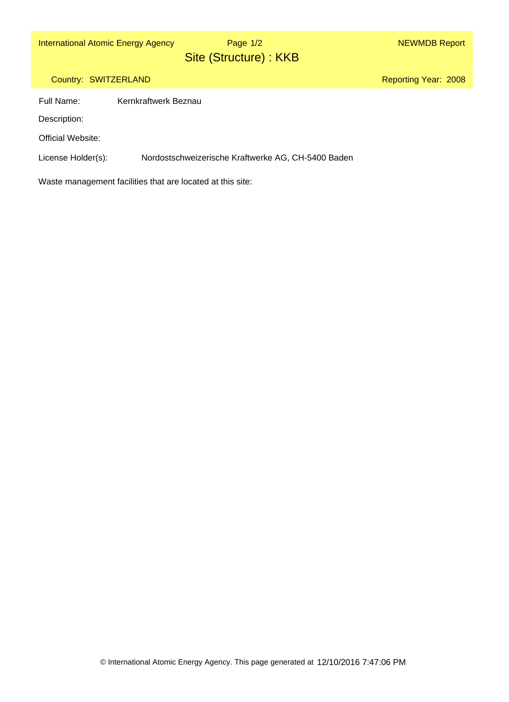# Site (Structure) : KKB Page 1/2

Reporting Year: 2008

## Country: SWITZERLAND

Full Name: Kernkraftwerk Beznau

Description:

Official Website:

License Holder(s): Nordostschweizerische Kraftwerke AG, CH-5400 Baden

Waste management facilities that are located at this site: